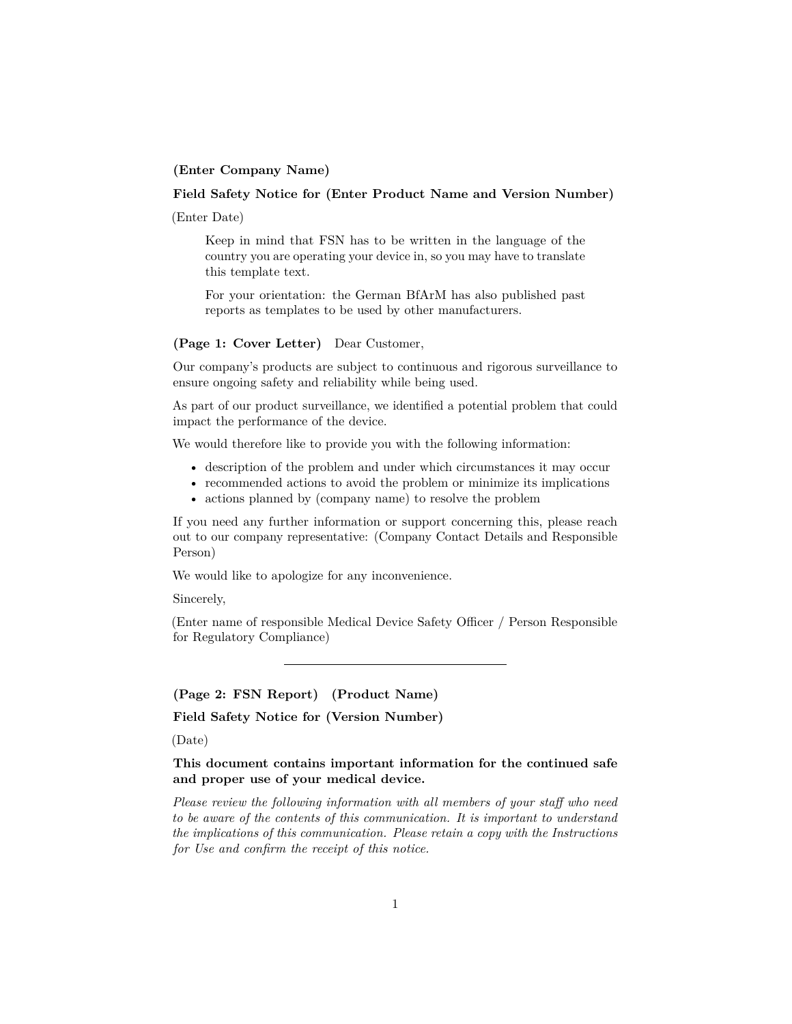## **(Enter Company Name)**

## **Field Safety Notice for (Enter Product Name and Version Number)**

(Enter Date)

Keep in mind that FSN has to be written in the language of the country you are operating your device in, so you may have to translate this template text.

For your orientation: the German BfArM has also published [past](https://www.bfarm.de/SharedDocs/Kundeninfos/DE/17/2018/00193-18_kundeninfo_de.pdf?__blob=publicationFile&v=1) [reports as templates](https://www.bfarm.de/SharedDocs/Kundeninfos/DE/17/2018/00193-18_kundeninfo_de.pdf?__blob=publicationFile&v=1) to be used by other manufacturers.

## **(Page 1: Cover Letter)** Dear Customer,

Our company's products are subject to continuous and rigorous surveillance to ensure ongoing safety and reliability while being used.

As part of our product surveillance, we identified a potential problem that could impact the performance of the device.

We would therefore like to provide you with the following information:

- description of the problem and under which circumstances it may occur
- recommended actions to avoid the problem or minimize its implications
- actions planned by (company name) to resolve the problem

If you need any further information or support concerning this, please reach out to our company representative: (Company Contact Details and Responsible Person)

We would like to apologize for any inconvenience.

Sincerely,

(Enter name of responsible Medical Device Safety Officer / Person Responsible for Regulatory Compliance)

**(Page 2: FSN Report) (Product Name)**

**Field Safety Notice for (Version Number)**

(Date)

## **This document contains important information for the continued safe and proper use of your medical device.**

*Please review the following information with all members of your staff who need to be aware of the contents of this communication. It is important to understand the implications of this communication. Please retain a copy with the Instructions for Use and confirm the receipt of this notice.*